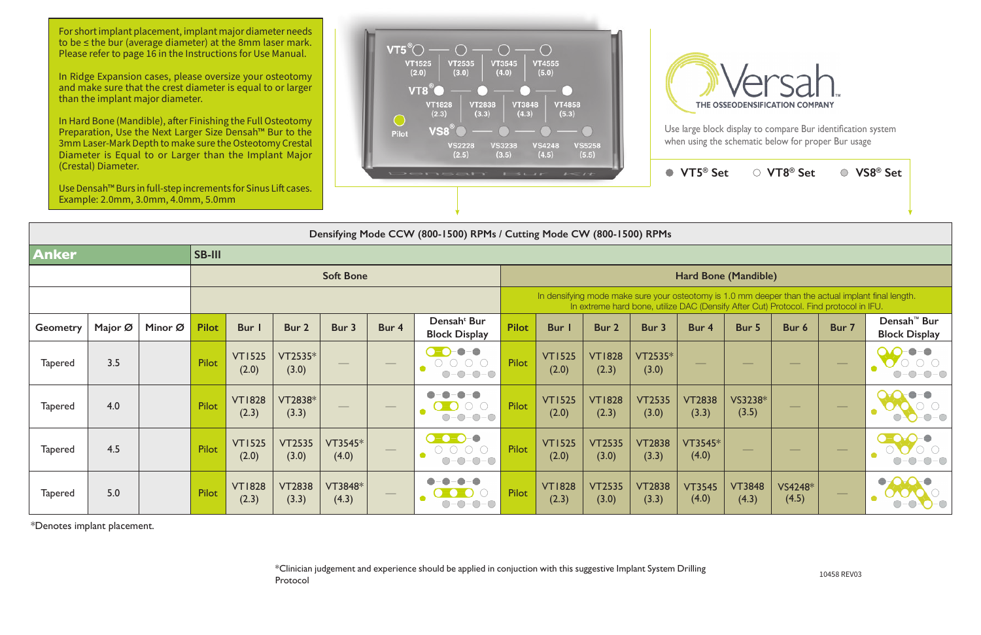| $1 - 11$                |                        |                                                                                       | VT5 <sup>®</sup> Set       |                        | ○ VT8 <sup>®</sup> Set |       | VS8 <sup>®</sup> Set                                                                               |  |  |  |  |  |  |
|-------------------------|------------------------|---------------------------------------------------------------------------------------|----------------------------|------------------------|------------------------|-------|----------------------------------------------------------------------------------------------------|--|--|--|--|--|--|
|                         |                        |                                                                                       |                            |                        |                        |       |                                                                                                    |  |  |  |  |  |  |
| Mode CW (800-1500) RPMs |                        |                                                                                       |                            |                        |                        |       |                                                                                                    |  |  |  |  |  |  |
|                         |                        |                                                                                       |                            |                        |                        |       |                                                                                                    |  |  |  |  |  |  |
| Hard Bone (Mandible)    |                        |                                                                                       |                            |                        |                        |       |                                                                                                    |  |  |  |  |  |  |
|                         |                        | In extreme hard bone, utilize DAC (Densify After Cut) Protocol. Find protocol in IFU. |                            |                        |                        |       | In densifying mode make sure your osteotomy is 1.0 mm deeper than the actual implant final length. |  |  |  |  |  |  |
| <b>Bur</b> I            | Bur 2                  | Bur 3                                                                                 | Bur 4                      | Bur 5                  | Bur 6                  | Bur 7 | Densah <sup>™</sup> Bur<br><b>Block Display</b>                                                    |  |  |  |  |  |  |
| <b>VT1525</b><br>(2.0)  | <b>VT1828</b><br>(2.3) | $VT2535*$<br>(3.0)                                                                    |                            |                        |                        |       |                                                                                                    |  |  |  |  |  |  |
| <b>VT1525</b><br>(2.0)  | <b>VT1828</b><br>(2.3) | <b>VT2535</b><br>(3.0)                                                                | <b>VT2838</b><br>(3.3)     | VS3238*<br>(3.5)       |                        |       |                                                                                                    |  |  |  |  |  |  |
| <b>VT1525</b><br>(2.0)  | <b>VT2535</b><br>(3.0) | <b>VT2838</b><br>(3.3)                                                                | $VT3545*$<br>(4.0)         |                        |                        |       |                                                                                                    |  |  |  |  |  |  |
| <b>VT1828</b><br>(2)    | <b>VT2535</b><br>(2)   | <b>VT2838</b><br>(2)                                                                  | <b>VT3545</b><br>$(1 \cap$ | <b>VT3848</b><br>(1.2) | VS4248*<br>(1)         |       |                                                                                                    |  |  |  |  |  |  |

**Densifying Mode CCW (800-1500) RPMs / Cutting Mode CW (800-1500) RPMs**

| Densifying Mode CCW (800-1500) RPMs / Cutting Mode CW (800-1500) RPMs |         |         |               |                        |                        |                  |                                 |                                                                                |                                                                                                                                                                                             |                        |                        |                        |                        |                        |                  |                                                                                                                                                                                                                                                                                                                                                                                                                                                                            |                                                 |  |
|-----------------------------------------------------------------------|---------|---------|---------------|------------------------|------------------------|------------------|---------------------------------|--------------------------------------------------------------------------------|---------------------------------------------------------------------------------------------------------------------------------------------------------------------------------------------|------------------------|------------------------|------------------------|------------------------|------------------------|------------------|----------------------------------------------------------------------------------------------------------------------------------------------------------------------------------------------------------------------------------------------------------------------------------------------------------------------------------------------------------------------------------------------------------------------------------------------------------------------------|-------------------------------------------------|--|
| <b>Anker</b>                                                          |         |         | <b>SB-III</b> |                        |                        |                  |                                 |                                                                                |                                                                                                                                                                                             |                        |                        |                        |                        |                        |                  |                                                                                                                                                                                                                                                                                                                                                                                                                                                                            |                                                 |  |
|                                                                       |         |         |               | <b>Soft Bone</b>       |                        |                  |                                 |                                                                                |                                                                                                                                                                                             | Hard Bone (Mandible)   |                        |                        |                        |                        |                  |                                                                                                                                                                                                                                                                                                                                                                                                                                                                            |                                                 |  |
|                                                                       |         |         |               |                        |                        |                  |                                 |                                                                                | In densifying mode make sure your osteotomy is 1.0 mm deeper than the actual implant final length.<br>In extreme hard bone, utilize DAC (Densify After Cut) Protocol. Find protocol in IFU. |                        |                        |                        |                        |                        |                  |                                                                                                                                                                                                                                                                                                                                                                                                                                                                            |                                                 |  |
| <b>Geometry</b>                                                       | Major Ø | Minor Ø | <b>Pilot</b>  | <b>Bur</b>             | Bur 2                  | Bur 3            | Bur 4                           | Densah <sup>t</sup> Bur<br><b>Block Display</b>                                | <b>Pilot</b>                                                                                                                                                                                | Bur I                  | Bur 2                  | Bur 3                  | Bur 4                  | Bur 5                  | Bur 6            | Bur 7                                                                                                                                                                                                                                                                                                                                                                                                                                                                      | Densah <sup>™</sup> Bur<br><b>Block Display</b> |  |
| <b>Tapered</b>                                                        | 3.5     |         | Pilot         | <b>VT1525</b><br>(2.0) | $VT2535*$<br>(3.0)     |                  | $\qquad \qquad$                 | $-\bigcirc$<br>$O-O-O-O$<br>$\bigcirc$ - $\bigcirc$                            | Pilot                                                                                                                                                                                       | <b>VT1525</b><br>(2.0) | <b>VT1828</b><br>(2.3) | VT2535*<br>(3.0)       |                        |                        |                  | $\overbrace{\hspace{25mm}}^{}$                                                                                                                                                                                                                                                                                                                                                                                                                                             |                                                 |  |
| <b>Tapered</b>                                                        | 4.0     |         | Pilot         | <b>VT1828</b><br>(2.3) | VT2838*<br>(3.3)       |                  | $\overbrace{\qquad \qquad }^{}$ | $-\bigcirc$<br>$\blacksquare$                                                  | <b>Pilot</b>                                                                                                                                                                                | <b>VT1525</b><br>(2.0) | <b>VT1828</b><br>(2.3) | <b>VT2535</b><br>(3.0) | <b>VT2838</b><br>(3.3) | VS3238*<br>(3.5)       |                  | $\frac{1}{2} \left( \frac{1}{2} \right) \left( \frac{1}{2} \right) \left( \frac{1}{2} \right) \left( \frac{1}{2} \right) \left( \frac{1}{2} \right) \left( \frac{1}{2} \right) \left( \frac{1}{2} \right) \left( \frac{1}{2} \right) \left( \frac{1}{2} \right) \left( \frac{1}{2} \right) \left( \frac{1}{2} \right) \left( \frac{1}{2} \right) \left( \frac{1}{2} \right) \left( \frac{1}{2} \right) \left( \frac{1}{2} \right) \left( \frac{1}{2} \right) \left( \frac$ |                                                 |  |
| <b>Tapered</b>                                                        | 4.5     |         | Pilot         | <b>VT1525</b><br>(2.0) | <b>VT2535</b><br>(3.0) | VT3545*<br>(4.0) | $\hspace{0.05cm}$               | $\bullet$ - $\bullet$ - $\bullet$ -<br>$\overline{\phantom{a}}$<br>$O-O-O-O-O$ | <b>Pilot</b>                                                                                                                                                                                | <b>VT1525</b><br>(2.0) | <b>VT2535</b><br>(3.0) | <b>VT2838</b><br>(3.3) | VT3545*<br>(4.0)       |                        |                  | $\hspace{0.05cm}$                                                                                                                                                                                                                                                                                                                                                                                                                                                          |                                                 |  |
| <b>Tapered</b>                                                        | 5.0     |         | Pilot         | <b>VT1828</b><br>(2.3) | <b>VT2838</b><br>(3.3) | VT3848*<br>(4.3) |                                 | $\bullet$                                                                      | Pilot                                                                                                                                                                                       | <b>VT1828</b><br>(2.3) | <b>VT2535</b><br>(3.0) | <b>VT2838</b><br>(3.3) | <b>VT3545</b><br>(4.0) | <b>VT3848</b><br>(4.3) | VS4248*<br>(4.5) | $\overbrace{\hspace{25mm}}^{}$                                                                                                                                                                                                                                                                                                                                                                                                                                             | $\bullet$                                       |  |

● VT5<sup>®</sup> Se

\*Denotes implant placement.

10458 REV03 \*Clinician judgement and experience should be applied in conjuction with this suggestive Implant System Drilling Protocol



For short implant placement, implant major diameter needs to be ≤ the bur (average diameter) at the 8mm laser mark. Please refer to page 16 in the Instructions for Use Manual.

In Ridge Expansion cases, please oversize your osteotomy and make sure that the crest diameter is equal to or larger than the implant major diameter.

In Hard Bone (Mandible), after Finishing the Full Osteotomy Preparation, Use the Next Larger Size Densah™ Bur to the 3mm Laser-Mark Depth to make sure the Osteotomy Crestal Diameter is Equal to or Larger than the Implant Major (Crestal) Diameter.

Use Densah™ Burs in full-step increments for Sinus Lift cases. Example: 2.0mm, 3.0mm, 4.0mm, 5.0mm



Use large block display to compare Bur identification system when using the schematic below for proper Bur usage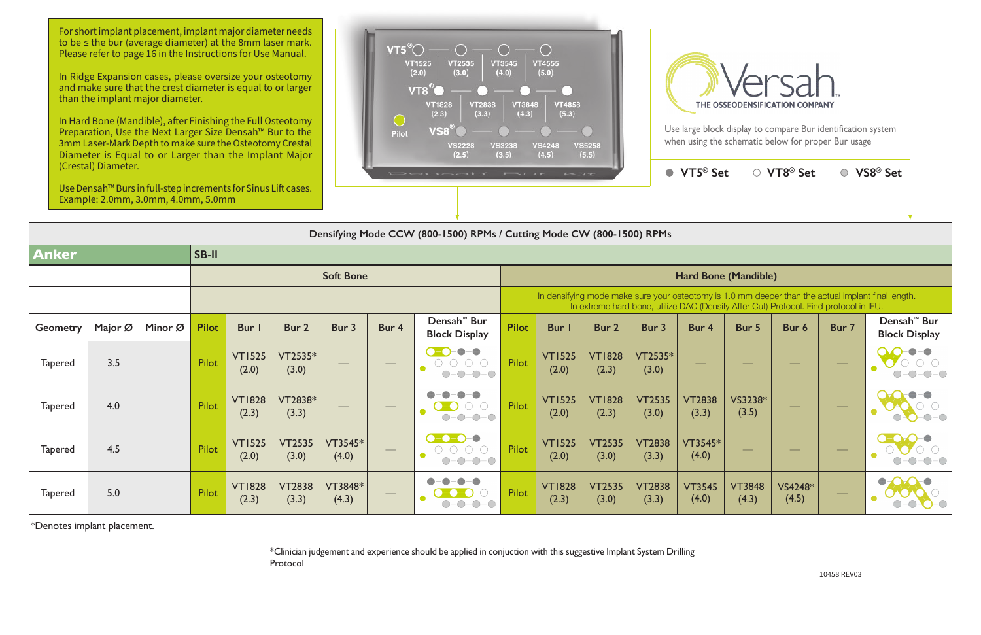| $\epsilon = \epsilon$                                                                                                                                                                       |                        |                        | VT5 <sup>®</sup> Set   |                        | ○ VT8 <sup>®</sup> Set |       | VS8 <sup>®</sup> Set                            |  |  |  |  |
|---------------------------------------------------------------------------------------------------------------------------------------------------------------------------------------------|------------------------|------------------------|------------------------|------------------------|------------------------|-------|-------------------------------------------------|--|--|--|--|
|                                                                                                                                                                                             |                        |                        |                        |                        |                        |       |                                                 |  |  |  |  |
| Mode CW (800-1500) RPMs                                                                                                                                                                     |                        |                        |                        |                        |                        |       |                                                 |  |  |  |  |
|                                                                                                                                                                                             |                        |                        |                        |                        |                        |       |                                                 |  |  |  |  |
| Hard Bone (Mandible)                                                                                                                                                                        |                        |                        |                        |                        |                        |       |                                                 |  |  |  |  |
| In densifying mode make sure your osteotomy is 1.0 mm deeper than the actual implant final length.<br>In extreme hard bone, utilize DAC (Densify After Cut) Protocol. Find protocol in IFU. |                        |                        |                        |                        |                        |       |                                                 |  |  |  |  |
| Bur I                                                                                                                                                                                       | Bur <sub>2</sub>       | Bur 3                  | Bur 4                  | Bur 5                  | Bur 6                  | Bur 7 | Densah <sup>™</sup> Bur<br><b>Block Display</b> |  |  |  |  |
| <b>VT1525</b><br>(2.0)                                                                                                                                                                      | <b>VT1828</b><br>(2.3) | VT2535*<br>(3.0)       |                        |                        |                        |       |                                                 |  |  |  |  |
| <b>VT1525</b><br>(2.0)                                                                                                                                                                      | <b>VT1828</b><br>(2.3) | <b>VT2535</b><br>(3.0) | <b>VT2838</b><br>(3.3) | VS3238*<br>(3.5)       |                        |       |                                                 |  |  |  |  |
| <b>VT1525</b><br>(2.0)                                                                                                                                                                      | <b>VT2535</b><br>(3.0) | <b>VT2838</b><br>(3.3) | VT3545*<br>(4.0)       |                        |                        |       |                                                 |  |  |  |  |
| <b>VT1828</b><br>(2.3)                                                                                                                                                                      | <b>VT2535</b><br>(3.0) | <b>VT2838</b><br>(3.3) | <b>VT3545</b><br>(4.0) | <b>VT3848</b><br>(4.3) | VS4248*<br>(4.5)       |       |                                                 |  |  |  |  |

## **Densifying Mode CCW (800-1500) RPMs / Cutting Mode CW (800-1500) RPMs**

|                 | Densifying Mode CCW (800-1500) RPMs / Cutting Mode CW (800-1500) RPMs |         |              |                        |                        |                          |                   |                                                                                                                                                                                                                                                                                                                                                                                                                     |                                                                                                                                                                                             |                        |                        |                        |                        |                        |                                |                   |                                                 |
|-----------------|-----------------------------------------------------------------------|---------|--------------|------------------------|------------------------|--------------------------|-------------------|---------------------------------------------------------------------------------------------------------------------------------------------------------------------------------------------------------------------------------------------------------------------------------------------------------------------------------------------------------------------------------------------------------------------|---------------------------------------------------------------------------------------------------------------------------------------------------------------------------------------------|------------------------|------------------------|------------------------|------------------------|------------------------|--------------------------------|-------------------|-------------------------------------------------|
| <b>Anker</b>    |                                                                       |         | SB-II        |                        |                        |                          |                   |                                                                                                                                                                                                                                                                                                                                                                                                                     |                                                                                                                                                                                             |                        |                        |                        |                        |                        |                                |                   |                                                 |
|                 |                                                                       |         |              | <b>Soft Bone</b>       |                        |                          |                   |                                                                                                                                                                                                                                                                                                                                                                                                                     |                                                                                                                                                                                             | Hard Bone (Mandible)   |                        |                        |                        |                        |                                |                   |                                                 |
|                 |                                                                       |         |              |                        |                        |                          |                   |                                                                                                                                                                                                                                                                                                                                                                                                                     | In densifying mode make sure your osteotomy is 1.0 mm deeper than the actual implant final length.<br>In extreme hard bone, utilize DAC (Densify After Cut) Protocol. Find protocol in IFU. |                        |                        |                        |                        |                        |                                |                   |                                                 |
| <b>Geometry</b> | Major Ø                                                               | Minor Ø | <b>Pilot</b> | Bur                    | Bur 2                  | Bur 3                    | Bur 4             | Densah <sup>™</sup> Bur<br><b>Block Display</b>                                                                                                                                                                                                                                                                                                                                                                     | <b>Pilot</b>                                                                                                                                                                                | Bur I                  | Bur 2                  | Bur 3                  | Bur 4                  | Bur 5                  | Bur 6                          | Bur 7             | Densah <sup>™</sup> Bur<br><b>Block Display</b> |
| <b>Tapered</b>  | 3.5                                                                   |         | Pilot        | <b>VT1525</b><br>(2.0) | $VT2535*$<br>(3.0)     | $\overline{\phantom{a}}$ | $\hspace{0.05cm}$ | $\begin{picture}(20,20) \put(-70,10){\makebox(0,0){$b$}} \put(-70,10){\makebox(0,0){$b$}} \put(-70,10){\makebox(0,0){$b$}} \put(-70,10){\makebox(0,0){$b$}} \put(-70,10){\makebox(0,0){$b$}} \put(-70,10){\makebox(0,0){$b$}} \put(-70,10){\makebox(0,0){$b$}} \put(-70,10){\makebox(0,0){$b$}} \put(-70,10){\makebox(0,0){$b$}} \put(-70,10){\makebox(0,0){$b$$<br>$ \bigcirc$ $ \bigcirc$<br>$-\bigcirc$<br>$O-O$ | Pilot                                                                                                                                                                                       | <b>VT1525</b><br>(2.0) | <b>VT1828</b><br>(2.3) | VT2535*<br>(3.0)       |                        |                        |                                | $\hspace{0.05cm}$ |                                                 |
| <b>Tapered</b>  | 4.0                                                                   |         | Pilot        | <b>VT1828</b><br>(2.3) | VT2838*<br>(3.3)       |                          |                   | $O-O$                                                                                                                                                                                                                                                                                                                                                                                                               | Pilot                                                                                                                                                                                       | <b>VT1525</b><br>(2.0) | <b>VT1828</b><br>(2.3) | <b>VT2535</b><br>(3.0) | <b>VT2838</b><br>(3.3) | VS3238*<br>(3.5)       |                                |                   |                                                 |
| <b>Tapered</b>  | 4.5                                                                   |         | Pilot        | <b>VT1525</b><br>(2.0) | <b>VT2535</b><br>(3.0) | VT3545*<br>(4.0)         |                   | $\bullet$ $\bullet$ $\bullet$<br>$O-O-O$ - $O$ -<br>$-\bigcirc$                                                                                                                                                                                                                                                                                                                                                     | Pilot                                                                                                                                                                                       | <b>VT1525</b><br>(2.0) | <b>VT2535</b><br>(3.0) | <b>VT2838</b><br>(3.3) | VT3545*<br>(4.0)       |                        | $\overbrace{\hspace{25mm}}^{}$ | $\hspace{0.05cm}$ |                                                 |
| <b>Tapered</b>  | 5.0                                                                   |         | Pilot        | <b>VT1828</b><br>(2.3) | <b>VT2838</b><br>(3.3) | VT3848*<br>(4.3)         |                   |                                                                                                                                                                                                                                                                                                                                                                                                                     | Pilot                                                                                                                                                                                       | <b>VT1828</b><br>(2.3) | <b>VT2535</b><br>(3.0) | <b>VT2838</b><br>(3.3) | <b>VT3545</b><br>(4.0) | <b>VT3848</b><br>(4.3) | VS4248*<br>(4.5)               |                   | ●                                               |

\*Denotes implant placement.

\*Clinician judgement and experience should be applied in conjuction with this suggestive Implant System Drilling Protocol



Use large block display to compare Bur identification system when using the schematic below for proper Bur usage

For short implant placement, implant major diameter needs to be ≤ the bur (average diameter) at the 8mm laser mark. Please refer to page 16 in the Instructions for Use Manual.

In Ridge Expansion cases, please oversize your osteotomy and make sure that the crest diameter is equal to or larger than the implant major diameter.

In Hard Bone (Mandible), after Finishing the Full Osteotomy Preparation, Use the Next Larger Size Densah™ Bur to the 3mm Laser-Mark Depth to make sure the Osteotomy Crestal Diameter is Equal to or Larger than the Implant Major (Crestal) Diameter.

Use Densah™ Burs in full-step increments for Sinus Lift cases. Example: 2.0mm, 3.0mm, 4.0mm, 5.0mm

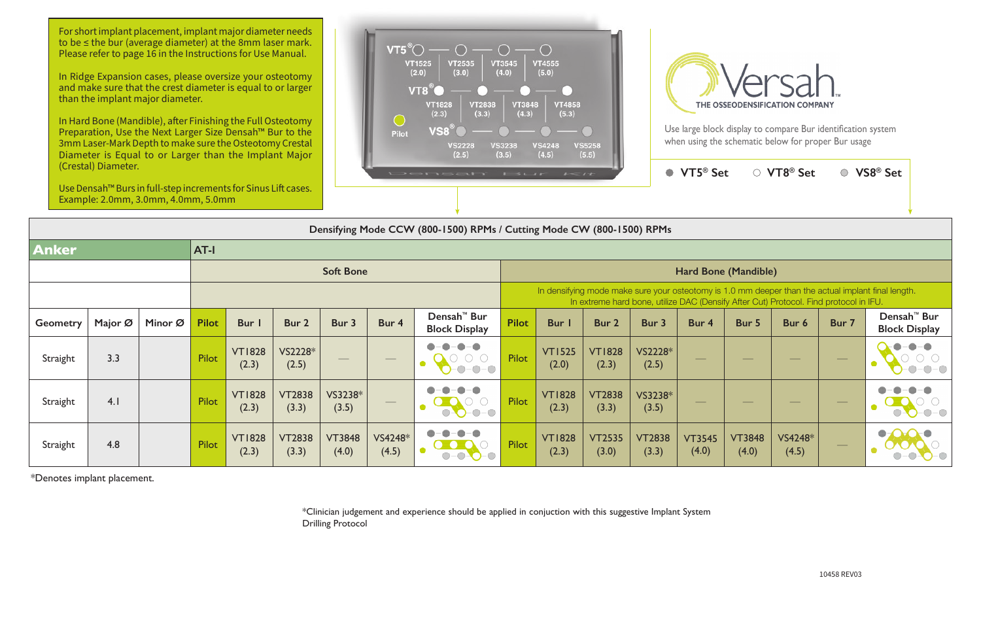Use large block display to compare Bur identification system when using the schematic below for proper Bur usage

|                 | $VT5^{\circ}$ Set                                                   |                        | ○ VT8 <sup>®</sup> Set |       | ○ VS8 <sup>®</sup> Set                                                   |
|-----------------|---------------------------------------------------------------------|------------------------|------------------------|-------|--------------------------------------------------------------------------|
| <b>RPMs</b>     |                                                                     |                        |                        |       |                                                                          |
|                 |                                                                     |                        |                        |       |                                                                          |
|                 | Hard Bone (Mandible)                                                |                        |                        |       |                                                                          |
|                 | ne, utilize DAC (Densify After Cut) Protocol. Find protocol in IFU. |                        |                        |       | re your osteotomy is 1.0 mm deeper than the actual implant final length. |
| 3ur 3           | Bur 4                                                               | Bur 5                  | Bur 6                  | Bur 7 | Densah <sup>™</sup> Bur<br><b>Block Display</b>                          |
| S2228*<br>(2.5) |                                                                     |                        |                        |       |                                                                          |
| S3238*<br>(3.5) |                                                                     |                        |                        |       |                                                                          |
| T2838<br>(3.3)  | <b>VT3545</b><br>(4.0)                                              | <b>VT3848</b><br>(4.0) | VS4248*<br>(4.5)       |       |                                                                          |



\*Denotes implant placement.

\*Clinician judgement and experience should be applied in conjuction with this suggestive Implant System Drilling Protocol



For short implant placement, implant major diameter needs to be ≤ the bur (average diameter) at the 8mm laser mark. Please refer to page 16 in the Instructions for Use Manual.

In Ridge Expansion cases, please oversize your osteotomy and make sure that the crest diameter is equal to or larger than the implant major diameter.

In Hard Bone (Mandible), after Finishing the Full Osteotomy Preparation, Use the Next Larger Size Densah™ Bur to the 3mm Laser-Mark Depth to make sure the Osteotomy Crestal Diameter is Equal to or Larger than the Implant Major (Crestal) Diameter.

Example: 2.0mm, 3.0mm, 4.0mm, 5.0mm